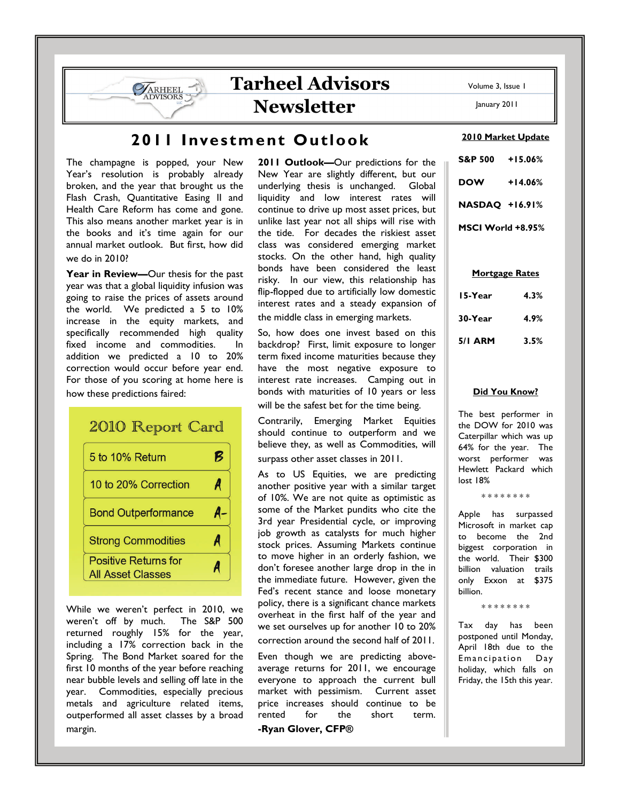# **Tarheel Advisors Newsletter**

## **2011 Investment Outlook**

The champagne is popped, your New Year's resolution is probably already broken, and the year that brought us the Flash Crash, Quantitative Easing II and Health Care Reform has come and gone. This also means another market year is in the books and it's time again for our annual market outlook. But first, how did we do in 2010?

**SARHEEL** 

**Year in Review—**Our thesis for the past year was that a global liquidity infusion was going to raise the prices of assets around the world. We predicted a 5 to 10% increase in the equity markets, and specifically recommended high quality fixed income and commodities. In addition we predicted a 10 to 20% correction would occur before year end. For those of you scoring at home here is how these predictions faired:

### 2010 Report Card B 5 to 10% Return 10 to 20% Correction A **Bond Outperformance** A-**Strong Commodities** A **Positive Returns for** A **All Asset Classes**

While we weren't perfect in 2010, we weren't off by much. The S&P 500 returned roughly 15% for the year, including a 17% correction back in the Spring. The Bond Market soared for the first 10 months of the year before reaching near bubble levels and selling off late in the year. Commodities, especially precious metals and agriculture related items, outperformed all asset classes by a broad margin.

**2011 Outlook—**Our predictions for the New Year are slightly different, but our underlying thesis is unchanged. Global liquidity and low interest rates will continue to drive up most asset prices, but unlike last year not all ships will rise with the tide. For decades the riskiest asset class was considered emerging market stocks. On the other hand, high quality bonds have been considered the least risky. In our view, this relationship has flip-flopped due to artificially low domestic interest rates and a steady expansion of the middle class in emerging markets.

So, how does one invest based on this backdrop? First, limit exposure to longer term fixed income maturities because they have the most negative exposure to interest rate increases. Camping out in bonds with maturities of 10 years or less will be the safest bet for the time being.

Contrarily, Emerging Market Equities should continue to outperform and we believe they, as well as Commodities, will surpass other asset classes in 2011.

As to US Equities, we are predicting another positive year with a similar target of 10%. We are not quite as optimistic as some of the Market pundits who cite the 3rd year Presidential cycle, or improving job growth as catalysts for much higher stock prices. Assuming Markets continue to move higher in an orderly fashion, we don't foresee another large drop in the in the immediate future. However, given the Fed's recent stance and loose monetary policy, there is a significant chance markets overheat in the first half of the year and we set ourselves up for another 10 to 20% correction around the second half of 2011.

Even though we are predicting aboveaverage returns for 2011, we encourage everyone to approach the current bull market with pessimism. Current asset price increases should continue to be rented for the short term. **-Ryan Glover, CFP®**

Volume 3, Issue 1

January 2011

#### **2010 Market Update**

**S&P 500 +15.06% DOW +14.06% NASDAQ +16.91% MSCI World +8.95%** 

#### **Mortgage Rates**

| 15-Year | 4.3% |
|---------|------|
| 30-Year | 4.9% |
| 5/1 ARM | 3.5% |

### **Did You Know?**

The best performer in the DOW for 2010 was Caterpillar which was up 64% for the year. The worst performer was Hewlett Packard which lost 18%

\* \* \* \* \* \* \* \*

Apple has surpassed Microsoft in market cap to become the 2nd biggest corporation in the world. Their \$300 billion valuation trails only Exxon at \$375 billion.

\* \* \* \* \* \* \* \*

Tax day has been postponed until Monday, April 18th due to the Emancipation Day holiday, which falls on Friday, the 15th this year.